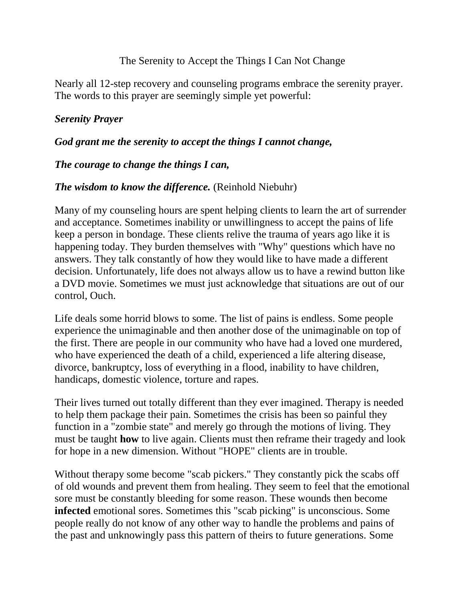## The Serenity to Accept the Things I Can Not Change

Nearly all 12-step recovery and counseling programs embrace the serenity prayer. The words to this prayer are seemingly simple yet powerful:

# *Serenity Prayer*

## *God grant me the serenity to accept the things I cannot change,*

## *The courage to change the things I can,*

## *The wisdom to know the difference.* (Reinhold Niebuhr)

Many of my counseling hours are spent helping clients to learn the art of surrender and acceptance. Sometimes inability or unwillingness to accept the pains of life keep a person in bondage. These clients relive the trauma of years ago like it is happening today. They burden themselves with "Why" questions which have no answers. They talk constantly of how they would like to have made a different decision. Unfortunately, life does not always allow us to have a rewind button like a DVD movie. Sometimes we must just acknowledge that situations are out of our control, Ouch.

Life deals some horrid blows to some. The list of pains is endless. Some people experience the unimaginable and then another dose of the unimaginable on top of the first. There are people in our community who have had a loved one murdered, who have experienced the death of a child, experienced a life altering disease, divorce, bankruptcy, loss of everything in a flood, inability to have children, handicaps, domestic violence, torture and rapes.

Their lives turned out totally different than they ever imagined. Therapy is needed to help them package their pain. Sometimes the crisis has been so painful they function in a "zombie state" and merely go through the motions of living. They must be taught **how** to live again. Clients must then reframe their tragedy and look for hope in a new dimension. Without "HOPE" clients are in trouble.

Without therapy some become "scab pickers." They constantly pick the scabs off of old wounds and prevent them from healing. They seem to feel that the emotional sore must be constantly bleeding for some reason. These wounds then become **infected** emotional sores. Sometimes this "scab picking" is unconscious. Some people really do not know of any other way to handle the problems and pains of the past and unknowingly pass this pattern of theirs to future generations. Some